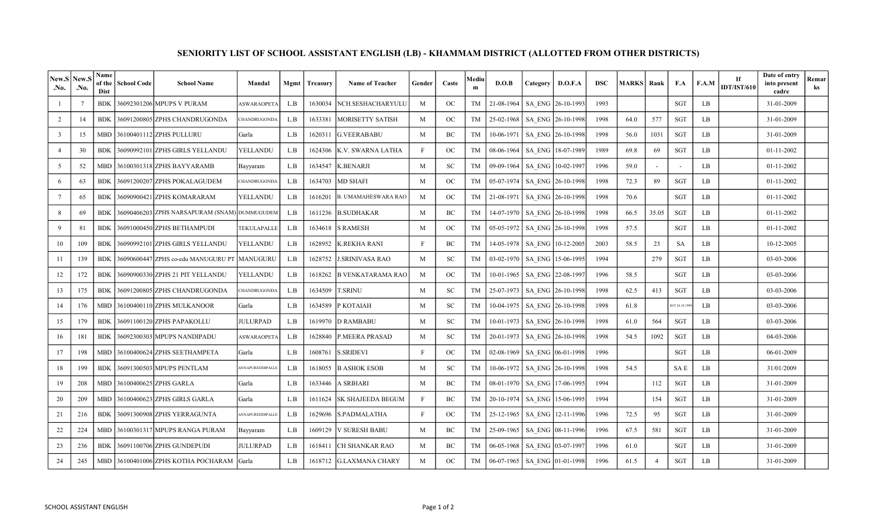| New.S<br>.No.           | New.<br>.No.    | Name<br>of the<br>Dist | <b>School Code</b> | <b>School Name</b>                            | Mandal             | Mgmt | <b>Treasury</b> | <b>Name of Teacher</b>   | Gender | Caste       | Mediu<br>m | D.O.B        | Category | D.O.F.A           | <b>DSC</b> | <b>MARKS</b> | Rank                     | F.A           | F.A.M | If<br><b>IDT/IST/610</b> | Date of entry<br>into present<br>cadre | Remar<br>ks |
|-------------------------|-----------------|------------------------|--------------------|-----------------------------------------------|--------------------|------|-----------------|--------------------------|--------|-------------|------------|--------------|----------|-------------------|------------|--------------|--------------------------|---------------|-------|--------------------------|----------------------------------------|-------------|
|                         | $7\phantom{.0}$ | <b>BDK</b>             |                    | 36092301206 MPUPS V PURAM                     | <b>ASWARAOPETA</b> | L.B  | 1630034         | NCH.SESHACHARYULU        | M      | OC          | TM         | 21-08-1964   |          | SA ENG 26-10-1993 | 1993       |              |                          | <b>SGT</b>    | LB.   |                          | 31-01-2009                             |             |
| 2                       | 14              | <b>BDK</b>             |                    | 36091200805 ZPHS CHANDRUGONDA                 | CHANDRUGONDA       | L.B  | 1633381         | <b>MORISETTY SATISH</b>  | M      | OC          | TM         | 25-02-1968   |          | SA ENG 26-10-1998 | 1998       | 64.0         | 577                      | <b>SGT</b>    | LB    |                          | 31-01-2009                             |             |
| $\overline{\mathbf{3}}$ | 15              | <b>MBD</b>             |                    | 36100401112 ZPHS PULLURU                      | Garla              | L.B  | 1620311         | <b>G.VEERABABU</b>       | M      | BC          | TM         | 10-06-1971   |          | SA ENG 26-10-1998 | 1998       | 56.0         | 1031                     | SGT           | LB    |                          | 31-01-2009                             |             |
| $\overline{4}$          | 30              | <b>BDK</b>             |                    | 36090992101 ZPHS GIRLS YELLANDU               | YELLANDU           | L.B  | 1624306         | K.V. SWARNA LATHA        | F      | OC          | TM         | 08-06-1964   |          | SA ENG 18-07-1989 | 1989       | 69.8         | 69                       | SGT           | LB    |                          | 01-11-2002                             |             |
| 5                       | 52              | <b>MBD</b>             |                    | 36100301318 ZPHS BAYYARAMB                    | Bayyaram           | L.B  | 1634547         | <b>K.BENARJI</b>         | M      | <b>SC</b>   | TM         | 09-09-1964   |          | SA ENG 10-02-1997 | 1996       | 59.0         | $\overline{\phantom{a}}$ |               | LB    |                          | 01-11-2002                             |             |
| 6                       | 63              | <b>BDK</b>             |                    | 36091200207 ZPHS POKALAGUDEM                  | CHANDRUGONDA       | L.B  | 1634703         | <b>MD SHAFI</b>          | M      | $_{\rm OC}$ | TM         | 05-07-1974   |          | SA ENG 26-10-1998 | 1998       | 72.3         | 89                       | SGT           | LB    |                          | 01-11-2002                             |             |
| $7\phantom{.0}$         | 65              | <b>BDK</b>             |                    | 36090900421 ZPHS KOMARARAM                    | YELLANDU           | L.B  | 1616201         | B. UMAMAHESWARA RAO      | M      | $_{\rm OC}$ | TM         | 21-08-1971   |          | SA ENG 26-10-1998 | 1998       | 70.6         |                          | SGT           | LB    |                          | 01-11-2002                             |             |
| 8                       | 69              | <b>BDK</b>             |                    | 36090406203 ZPHS NARSAPURAM (SNAM) DUMMUGUDEM |                    | L.B  | 1611236         | <b>B.SUDHAKAR</b>        | M      | BC          | TM         | 14-07-1970   |          | SA ENG 26-10-1998 | 1998       | 66.5         | 35.05                    | SGT           | LB    |                          | 01-11-2002                             |             |
| 9                       | 81              | <b>BDK</b>             |                    | 36091000450lZPHS BETHAMPUDI                   | TEKULAPALLE        | L.B  | 1634618         | <b>S RAMESH</b>          | M      | OC          | TM         | 05-05-1972   |          | SA ENG 26-10-1998 | 1998       | 57.5         |                          | SGT           | LB    |                          | 01-11-2002                             |             |
| 10                      | 109             | <b>BDK</b>             |                    | 36090992101 ZPHS GIRLS YELLANDU               | YELLANDU           | L.B  | 1628952         | K.REKHA RANI             | F      | BC          | TM         | 14-05-1978   |          | SA ENG 10-12-2005 | 2003       | 58.5         | 23                       | SA            | LB    |                          | 10-12-2005                             |             |
| 11                      | 139             | <b>BDK</b>             |                    | 36090600447 ZPHS co-edu MANUGURU PT  MANUGURU |                    | L.B  | 1628752         | <b>J.SRINIVASA RAO</b>   | M      | SC          | TM         | 03-02-1970   |          | SA ENG 15-06-1995 | 1994       |              | 279                      | SGT           | LB    |                          | 03-03-2006                             |             |
| 12                      | 172             | <b>BDK</b>             |                    | 36090900330 ZPHS 21 PIT YELLANDU              | YELLANDU           | L.B  | 1618262         | <b>B VENKATARAMA RAO</b> | M      | OC          | TM         | 10-01-1965   |          | SA ENG 22-08-199  | 1996       | 58.5         |                          | SGT           | LB    |                          | 03-03-2006                             |             |
| 13                      | 175             | <b>BDK</b>             |                    | 36091200805 ZPHS CHANDRUGONDA                 | CHANDRUGONDA       | L.B  | 1634509         | <b>T.SRINU</b>           | M      | SC          | TM         | 25-07-1973   |          | SA ENG 26-10-1998 | 1998       | 62.5         | 413                      | SGT           | LB    |                          | 03-03-2006                             |             |
| 14                      | 176             | MBD                    |                    | 36100400110 ZPHS MULKANOOR                    | Garla              | L.B  | 1634589         | P KOTAIAH                | M      | <b>SC</b>   | TM         | 10-04-1975   |          | SA ENG 26-10-1998 | 1998       | 61.8         |                          | GT 26.10.1998 | LB    |                          | 03-03-2006                             |             |
| 15                      | 179             | <b>BDK</b>             |                    | 36091100120 ZPHS PAPAKOLLU                    | <b>JULURPAD</b>    | L.B  | 1619970         | <b>D RAMBABU</b>         | M      | <b>SC</b>   | TM         | $10-01-1973$ |          | SA ENG 26-10-1998 | 1998       | 61.0         | 564                      | SGT           | LB    |                          | 03-03-2006                             |             |
| 16                      | 181             | <b>BDK</b>             |                    | 36092300303 MPUPS NANDIPADU                   | <b>ASWARAOPETA</b> | L.B  | 1628840         | <b>P.MEERA PRASAD</b>    | M      | <b>SC</b>   | TM         | 20-01-1973   |          | SA ENG 26-10-1998 | 1998       | 54.5         | 1092                     | SGT           | LB    |                          | 04-03-2006                             |             |
| 17                      | 198             | <b>MBD</b>             |                    | 36100400624 ZPHS SEETHAMPETA                  | Garla              | L.B  | 1608761         | <b>S.SRIDEVI</b>         | F      | OC          | TM         | 02-08-1969   |          | SA ENG 06-01-1998 | 1996       |              |                          | SGT           | LB    |                          | 06-01-2009                             |             |
| 18                      | 199             | <b>BDK</b>             |                    | 36091300503 MPUPS PENTLAM                     | ANNAPUREDDIPALLE   | L.B  | 1618055         | <b>B ASHOK ESOB</b>      | M      | <b>SC</b>   | TM         | 10-06-1972   |          | SA ENG 26-10-1998 | 1998       | 54.5         |                          | SA E          | LB    |                          | 31/01/2009                             |             |
| 19                      | 208             | MBD                    |                    | 36100400625 ZPHS GARLA                        | Garla              | L.B  | 1633446         | A SRIHARI                | M      | BC          | TM         | 08-01-1970   |          | SA ENG 17-06-1995 | 1994       |              | 112                      | SGT           | LB    |                          | 31-01-2009                             |             |
| 20                      | 209             | MBD                    |                    | 36100400623 ZPHS GIRLS GARLA                  | Garla              | L.B  | 1611624         | SK SHAJEEDA BEGUM        |        | BC          | TM         | 20-10-1974   |          | SA ENG 15-06-1995 | 1994       |              | 154                      | SGT           | LB    |                          | 31-01-2009                             |             |
| 21                      | 216             | <b>BDK</b>             |                    | 36091300908 ZPHS YERRAGUNTA                   | ANNAPUREDDIPALLE   | L.B  | 1629696         | S.PADMALATHA             | F      | OC          | TM         | 25-12-1965   |          | SA ENG 12-11-1996 | 1996       | 72.5         | 95                       | <b>SGT</b>    | LB    |                          | 31-01-2009                             |             |
| 22                      | 224             | <b>MBD</b>             |                    | 36100301317 MPUPS RANGA PURAM                 | Bayyaram           | L.B  | 1609129         | <b>V SURESH BABU</b>     | M      | BC          | TM         | 25-09-1965   |          | SA ENG 08-11-1996 | 1996       | 67.5         | 581                      | SGT           | LB    |                          | 31-01-2009                             |             |
| 23                      | 236             | <b>BDK</b>             |                    | 36091100706 ZPHS GUNDEPUDI                    | <b>JULURPAD</b>    | L.B  | 1618411         | CH SHANKAR RAO           | M      | BC          | TM         | 06-05-1968   |          | SA ENG 03-07-199  | 1996       | 61.0         |                          | SGT           | LB    |                          | 31-01-2009                             |             |
| 24                      | 245             | MBD                    |                    | 36100401006 ZPHS KOTHA POCHARAM Garla         |                    | L.B  |                 | 1618712 G.LAXMANA CHARY  | M      | OC          | TM         | 06-07-1965   |          | SA ENG 01-01-1998 | 1996       | 61.5         | $\overline{4}$           | <b>SGT</b>    | LB    |                          | 31-01-2009                             |             |

## SENIORITY LIST OF SCHOOL ASSISTANT ENGLISH (LB) - KHAMMAM DISTRICT (ALLOTTED FROM OTHER DISTRICTS)